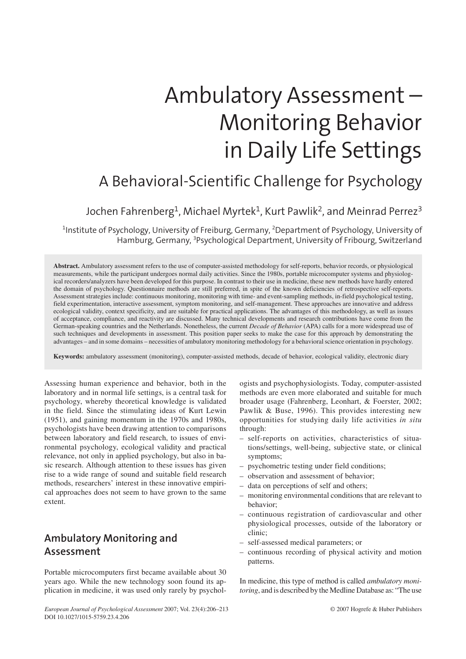# Ambulatory Assessment – Monitoring Behavior in Daily Life Settings

# A Behavioral-Scientific Challenge for Psychology

#### Jochen Fahrenberg<sup>1</sup>, Michael Myrtek<sup>1</sup>, Kurt Pawlik<sup>2</sup>, and Meinrad Perrez<sup>3</sup>

<sup>1</sup>Institute of Psychology, University of Freiburg, Germany, <sup>2</sup>Department of Psychology, University of Hamburg, Germany, <sup>3</sup>Psychological Department, University of Fribourg, Switzerland

**Abstract.** Ambulatory assessment refers to the use of computer-assisted methodology for self-reports, behavior records, or physiological measurements, while the participant undergoes normal daily activities. Since the 1980s, portable microcomputer systems and physiological recorders/analyzers have been developed for this purpose. In contrast to their use in medicine, these new methods have hardly entered the domain of psychology. Questionnaire methods are still preferred, in spite of the known deficiencies of retrospective self-reports. Assessment strategies include: continuous monitoring, monitoring with time- and event-sampling methods, in-field psychological testing, field experimentation, interactive assessment, symptom monitoring, and self-management. These approaches are innovative and address ecological validity, context specificity, and are suitable for practical applications. The advantages of this methodology, as well as issues of acceptance, compliance, and reactivity are discussed. Many technical developments and research contributions have come from the German-speaking countries and the Netherlands. Nonetheless, the current *Decade of Behavior* (APA) calls for a more widespread use of such techniques and developments in assessment. This position paper seeks to make the case for this approach by demonstrating the advantages – and in some domains – necessities of ambulatory monitoring methodology for a behavioralscience orientation in psychology.

**Keywords:** ambulatory assessment (monitoring), computer-assisted methods, decade of behavior, ecological validity, electronic diary

Assessing human experience and behavior, both in the laboratory and in normal life settings, is a central task for psychology, whereby theoretical knowledge is validated in the field. Since the stimulating ideas of Kurt Lewin (1951), and gaining momentum in the 1970s and 1980s, psychologists have been drawing attention to comparisons between laboratory and field research, to issues of environmental psychology, ecological validity and practical relevance, not only in applied psychology, but also in basic research. Although attention to these issues has given rise to a wide range of sound and suitable field research methods, researchers' interest in these innovative empirical approaches does not seem to have grown to the same extent.

# **Ambulatory Monitoring and Assessment**

Portable microcomputers first became available about 30 years ago. While the new technology soon found its application in medicine, it was used only rarely by psychologists and psychophysiologists. Today, computer-assisted methods are even more elaborated and suitable for much broader usage (Fahrenberg, Leonhart, & Foerster, 2002; Pawlik & Buse, 1996). This provides interesting new opportunities for studying daily life activities *in situ* through:

- self-reports on activities, characteristics of situations/settings, well-being, subjective state, or clinical symptoms;
- psychometric testing under field conditions;
- observation and assessment of behavior;
- data on perceptions of self and others;
- monitoring environmental conditions that are relevant to behavior;
- continuous registration of cardiovascular and other physiological processes, outside of the laboratory or clinic;
- self-assessed medical parameters; or
- continuous recording of physical activity and motion patterns.

In medicine, this type of method is called *ambulatory monitoring*, and is described by the Medline Database as: "The use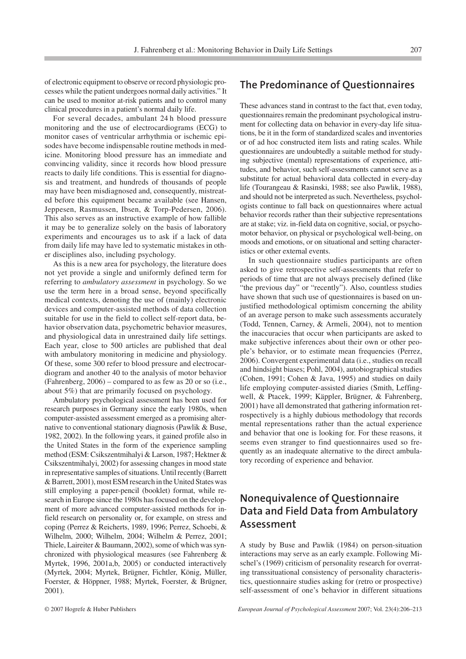of electronic equipment to observe or record physiologic processes while the patient undergoes normal daily activities." It can be used to monitor at-risk patients and to control many clinical procedures in a patient's normal daily life.

For several decades, ambulant 24 h blood pressure monitoring and the use of electrocardiograms (ECG) to monitor cases of ventricular arrhythmia or ischemic episodes have become indispensable routine methods in medicine. Monitoring blood pressure has an immediate and convincing validity, since it records how blood pressure reacts to daily life conditions. This is essential for diagnosis and treatment, and hundreds of thousands of people may have been misdiagnosed and, consequently, mistreated before this equipment became available (see Hansen, Jeppesen, Rasmussen, Ibsen, & Torp-Pedersen, 2006). This also serves as an instructive example of how fallible it may be to generalize solely on the basis of laboratory experiments and encourages us to ask if a lack of data from daily life may have led to systematic mistakes in other disciplines also, including psychology.

As this is a new area for psychology, the literature does not yet provide a single and uniformly defined term for referring to *ambulatory assessment* in psychology. So we use the term here in a broad sense, beyond specifically medical contexts, denoting the use of (mainly) electronic devices and computer-assisted methods of data collection suitable for use in the field to collect self-report data, behavior observation data, psychometric behavior measures, and physiological data in unrestrained daily life settings. Each year, close to 500 articles are published that deal with ambulatory monitoring in medicine and physiology. Of these, some 300 refer to blood pressure and electrocardiogram and another 40 to the analysis of motor behavior (Fahrenberg, 2006) – compared to as few as 20 or so (i.e., about 5%) that are primarily focused on psychology.

Ambulatory psychological assessment has been used for research purposes in Germany since the early 1980s, when computer-assisted assessment emerged as a promising alternative to conventional stationary diagnosis (Pawlik & Buse, 1982, 2002). In the following years, it gained profile also in the United States in the form of the experience sampling method (ESM: Csikszentmihalyi & Larson, 1987; Hektner & Csikszentmihalyi, 2002) for assessing changes in mood state in representative samples of situations. Until recently (Barrett & Barrett, 2001), most ESM research in the United States was still employing a paper-pencil (booklet) format, while research in Europe since the 1980s has focused on the development of more advanced computer-assisted methods for infield research on personality or, for example, on stress and coping (Perrez & Reicherts, 1989, 1996; Perrez, Schoebi, & Wilhelm, 2000; Wilhelm, 2004; Wilhelm & Perrez, 2001; Thiele, Laireiter & Baumann, 2002), some of which was synchronized with physiological measures (see Fahrenberg & Myrtek, 1996, 2001a,b, 2005) or conducted interactively (Myrtek, 2004; Myrtek, Brügner, Fichtler, König, Müller, Foerster, & Höppner, 1988; Myrtek, Foerster, & Brügner, 2001).

#### **The Predominance of Questionnaires**

These advances stand in contrast to the fact that, even today, questionnaires remain the predominant psychological instrument for collecting data on behavior in every-day life situations, be it in the form of standardized scales and inventories or of ad hoc constructed item lists and rating scales. While questionnaires are undoubtedly a suitable method for studying subjective (mental) representations of experience, attitudes, and behavior, such self-assessments cannot serve as a substitute for actual behavioral data collected in every-day life (Tourangeau & Rasinski, 1988; see also Pawlik, 1988), and should not be interpreted as such. Nevertheless, psychologists continue to fall back on questionnaires where actual behavior records rather than their subjective representations are at stake; viz. in-field data on cognitive, social, or psychomotor behavior, on physical or psychological well-being, on moods and emotions, or on situational and setting characteristics or other external events.

In such questionnaire studies participants are often asked to give retrospective self-assessments that refer to periods of time that are not always precisely defined (like "the previous day" or "recently"). Also, countless studies have shown that such use of questionnaires is based on unjustified methodological optimism concerning the ability of an average person to make such assessments accurately (Todd, Tennen, Carney, & Armeli, 2004), not to mention the inaccuracies that occur when participants are asked to make subjective inferences about their own or other people's behavior, or to estimate mean frequencies (Perrez, 2006). Convergent experimental data (i.e., studies on recall and hindsight biases; Pohl, 2004), autobiographical studies (Cohen, 1991; Cohen & Java, 1995) and studies on daily life employing computer-assisted diaries (Smith, Leffingwell, & Ptacek, 1999; Käppler, Brügner, & Fahrenberg, 2001) have all demonstrated that gathering information retrospectively is a highly dubious methodology that records mental representations rather than the actual experience and behavior that one is looking for. For these reasons, it seems even stranger to find questionnaires used so frequently as an inadequate alternative to the direct ambulatory recording of experience and behavior.

### **Nonequivalence of Questionnaire Data and Field Data from Ambulatory Assessment**

A study by Buse and Pawlik (1984) on person-situation interactions may serve as an early example. Following Mischel's (1969) criticism of personality research for overrating transsituational consistency of personality characteristics, questionnaire studies asking for (retro or prospective) self-assessment of one's behavior in different situations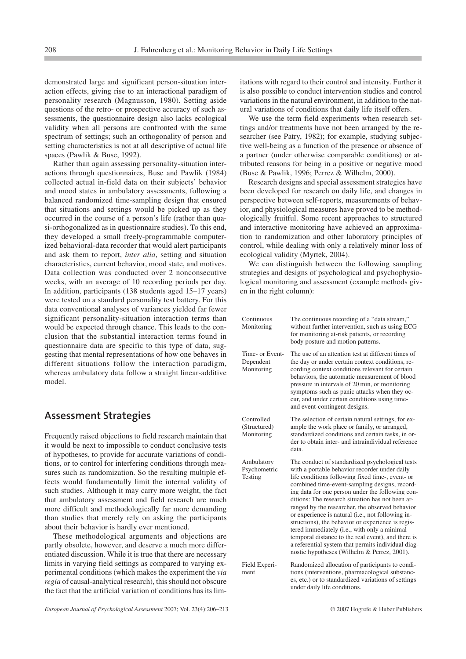demonstrated large and significant person-situation interaction effects, giving rise to an interactional paradigm of personality research (Magnusson, 1980). Setting aside questions of the retro- or prospective accuracy of such assessments, the questionnaire design also lacks ecological validity when all persons are confronted with the same spectrum of settings; such an orthogonality of person and setting characteristics is not at all descriptive of actual life spaces (Pawlik & Buse, 1992).

Rather than again assessing personality-situation interactions through questionnaires, Buse and Pawlik (1984) collected actual in-field data on their subjects' behavior and mood states in ambulatory assessments, following a balanced randomized time-sampling design that ensured that situations and settings would be picked up as they occurred in the course of a person's life (rather than quasi-orthogonalized as in questionnaire studies). To this end, they developed a small freely-programmable computerized behavioral-data recorder that would alert participants and ask them to report, *inter alia*, setting and situation characteristics, current behavior, mood state, and motives. Data collection was conducted over 2 nonconsecutive weeks, with an average of 10 recording periods per day. In addition, participants (138 students aged 15–17 years) were tested on a standard personality test battery. For this data conventional analyses of variances yielded far fewer significant personality-situation interaction terms than would be expected through chance. This leads to the conclusion that the substantial interaction terms found in questionnaire data are specific to this type of data, suggesting that mental representations of how one behaves in different situations follow the interaction paradigm, whereas ambulatory data follow a straight linear-additive model.

#### **Assessment Strategies**

Frequently raised objections to field research maintain that it would be next to impossible to conduct conclusive tests of hypotheses, to provide for accurate variations of conditions, or to control for interfering conditions through measures such as randomization. So the resulting multiple effects would fundamentally limit the internal validity of such studies. Although it may carry more weight, the fact that ambulatory assessment and field research are much more difficult and methodologically far more demanding than studies that merely rely on asking the participants about their behavior is hardly ever mentioned.

These methodological arguments and objections are partly obsolete, however, and deserve a much more differentiated discussion. While it is true that there are necessary limits in varying field settings as compared to varying experimental conditions (which makes the experiment the *via regia* of causal-analytical research), this should not obscure the fact that the artificial variation of conditions has its limitations with regard to their control and intensity. Further it is also possible to conduct intervention studies and control variations in the natural environment, in addition to the natural variations of conditions that daily life itself offers.

We use the term field experiments when research settings and/or treatments have not been arranged by the researcher (see Patry, 1982); for example, studying subjective well-being as a function of the presence or absence of a partner (under otherwise comparable conditions) or attributed reasons for being in a positive or negative mood (Buse & Pawlik, 1996; Perrez & Wilhelm, 2000).

Research designs and special assessment strategies have been developed for research on daily life, and changes in perspective between self-reports, measurements of behavior, and physiological measures have proved to be methodologically fruitful. Some recent approaches to structured and interactive monitoring have achieved an approximation to randomization and other laboratory principles of control, while dealing with only a relatively minor loss of ecological validity (Myrtek, 2004).

We can distinguish between the following sampling strategies and designs of psychological and psychophysiological monitoring and assessment (example methods given in the right column):

| Continuous<br>Monitoring                   | The continuous recording of a "data stream,"<br>without further intervention, such as using ECG<br>for monitoring at-risk patients, or recording<br>body posture and motion patterns.                                                                                                                                                                                                                                                                                                                                                                                                                                                                                                 |
|--------------------------------------------|---------------------------------------------------------------------------------------------------------------------------------------------------------------------------------------------------------------------------------------------------------------------------------------------------------------------------------------------------------------------------------------------------------------------------------------------------------------------------------------------------------------------------------------------------------------------------------------------------------------------------------------------------------------------------------------|
| Time- or Event-<br>Dependent<br>Monitoring | The use of an attention test at different times of<br>the day or under certain context conditions, re-<br>cording context conditions relevant for certain<br>behaviors, the automatic measurement of blood<br>pressure in intervals of 20 min, or monitoring<br>symptoms such as panic attacks when they oc-<br>cur, and under certain conditions using time-<br>and event-contingent designs.                                                                                                                                                                                                                                                                                        |
| Controlled<br>(Structured)<br>Monitoring   | The selection of certain natural settings, for ex-<br>ample the work place or family, or arranged,<br>standardized conditions and certain tasks, in or-<br>der to obtain inter- and intraindividual reference<br>data.                                                                                                                                                                                                                                                                                                                                                                                                                                                                |
| Ambulatory<br>Psychometric<br>Testing      | The conduct of standardized psychological tests<br>with a portable behavior recorder under daily<br>life conditions following fixed time-, event- or<br>combined time-event-sampling designs, record-<br>ing data for one person under the following con-<br>ditions: The research situation has not been ar-<br>ranged by the researcher, the observed behavior<br>or experience is natural (i.e., not following in-<br>structions), the behavior or experience is regis-<br>tered immediately (i.e., with only a minimal<br>temporal distance to the real event), and there is<br>a referential system that permits individual diag-<br>nostic hypotheses (Wilhelm & Perrez, 2001). |
| Field Experi-<br>ment                      | Randomized allocation of participants to condi-<br>tions (interventions, pharmacological substanc-<br>es, etc.) or to standardized variations of settings<br>under daily life conditions.                                                                                                                                                                                                                                                                                                                                                                                                                                                                                             |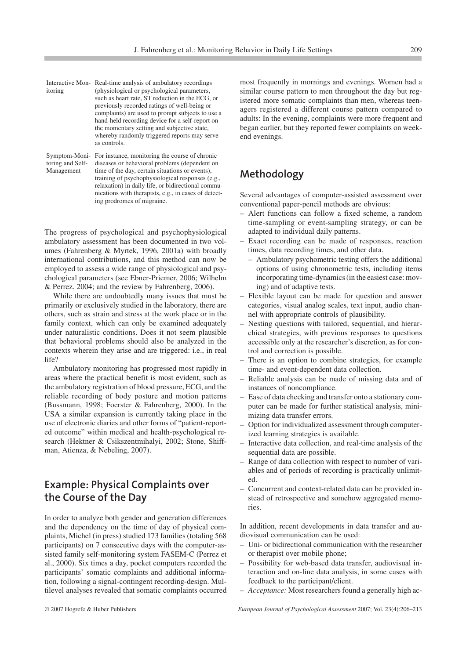| itoring | Interactive Mon-Real-time analysis of ambulatory recordings<br>(physiological or psychological parameters,<br>such as heart rate, ST reduction in the ECG, or<br>previously recorded ratings of well-being or<br>complaints) are used to prompt subjects to use a<br>hand-held recording device for a self-report on<br>the momentary setting and subjective state,<br>whereby randomly triggered reports may serve |
|---------|---------------------------------------------------------------------------------------------------------------------------------------------------------------------------------------------------------------------------------------------------------------------------------------------------------------------------------------------------------------------------------------------------------------------|
|         | as controls.                                                                                                                                                                                                                                                                                                                                                                                                        |
|         | $\mathbf{C}$ and $\mathbf{C}$ are $\mathbf{M}$ and $\mathbf{D}$ and $\mathbf{C}$ are the set of the set of $\mathbf{C}$ . Then $\mathbf{C}$ are the set of $\mathbf{C}$ and $\mathbf{C}$ are the set of $\mathbf{C}$ and $\mathbf{C}$ are the set of $\mathbf{C}$ and $\mathbf{C}$                                                                                                                                  |

Symptom-Moni-For instance, monitoring the course of chronic toring and Self-diseases or behavioral problems (dependent on Management time of the day, certain situations or events), training of psychophysiological responses (e.g., relaxation) in daily life, or bidirectional communications with therapists, e.g., in cases of detecting prodromes of migraine.

The progress of psychological and psychophysiological ambulatory assessment has been documented in two volumes (Fahrenberg & Myrtek, 1996, 2001a) with broadly international contributions, and this method can now be employed to assess a wide range of physiological and psychological parameters (see Ebner-Priemer, 2006; Wilhelm & Perrez. 2004; and the review by Fahrenberg, 2006).

While there are undoubtedly many issues that must be primarily or exclusively studied in the laboratory, there are others, such as strain and stress at the work place or in the family context, which can only be examined adequately under naturalistic conditions. Does it not seem plausible that behavioral problems should also be analyzed in the contexts wherein they arise and are triggered: i.e., in real life?

Ambulatory monitoring has progressed most rapidly in areas where the practical benefit is most evident, such as the ambulatory registration of blood pressure, ECG, and the reliable recording of body posture and motion patterns (Bussmann, 1998; Foerster & Fahrenberg, 2000). In the USA a similar expansion is currently taking place in the use of electronic diaries and other forms of "patient-reported outcome" within medical and health-psychological research (Hektner & Csikszentmihalyi, 2002; Stone, Shiffman, Atienza, & Nebeling, 2007).

## **Example: Physical Complaints over the Course of the Day**

In order to analyze both gender and generation differences and the dependency on the time of day of physical complaints, Michel (in press) studied 173 families (totaling 568 participants) on 7 consecutive days with the computer-assisted family self-monitoring system FASEM-C (Perrez et al., 2000). Six times a day, pocket computers recorded the participants' somatic complaints and additional information, following a signal-contingent recording-design. Multilevel analyses revealed that somatic complaints occurred most frequently in mornings and evenings. Women had a similar course pattern to men throughout the day but registered more somatic complaints than men, whereas teenagers registered a different course pattern compared to adults: In the evening, complaints were more frequent and began earlier, but they reported fewer complaints on weekend evenings.

#### **Methodology**

Several advantages of computer-assisted assessment over conventional paper-pencil methods are obvious:

- Alert functions can follow a fixed scheme, a random time-sampling or event-sampling strategy, or can be adapted to individual daily patterns.
- Exact recording can be made of responses, reaction times, data recording times, and other data.
	- Ambulatory psychometric testing offers the additional options of using chronometric tests, including items incorporating time-dynamics (in the easiest case: moving) and of adaptive tests.
- Flexible layout can be made for question and answer categories, visual analog scales, text input, audio channel with appropriate controls of plausibility.
- Nesting questions with tailored, sequential, and hierarchical strategies, with previous responses to questions accessible only at the researcher's discretion, as for control and correction is possible.
- There is an option to combine strategies, for example time- and event-dependent data collection.
- Reliable analysis can be made of missing data and of instances of noncompliance.
- Ease of data checking and transfer onto a stationary computer can be made for further statistical analysis, minimizing data transfer errors.
- Option for individualized assessment through computerized learning strategies is available.
- Interactive data collection, and real-time analysis of the sequential data are possible.
- Range of data collection with respect to number of variables and of periods of recording is practically unlimited.
- Concurrent and context-related data can be provided instead of retrospective and somehow aggregated memories.

In addition, recent developments in data transfer and audiovisual communication can be used:

- Uni- or bidirectional communication with the researcher or therapist over mobile phone;
- Possibility for web-based data transfer, audiovisual interaction and on-line data analysis, in some cases with feedback to the participant/client.
- *Acceptance:* Most researchers found a generally high ac-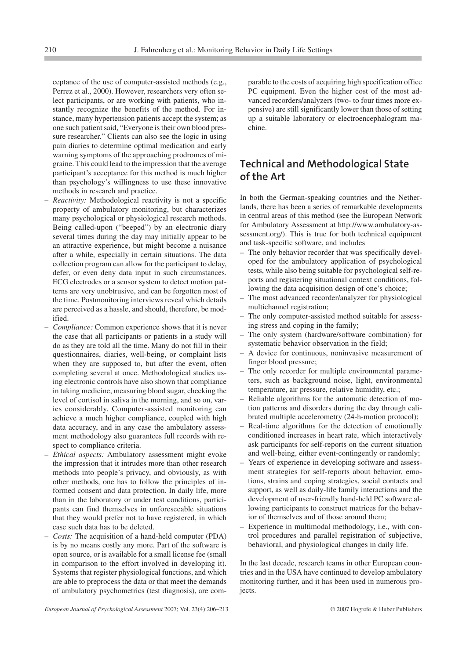ceptance of the use of computer-assisted methods (e.g., Perrez et al., 2000). However, researchers very often select participants, or are working with patients, who instantly recognize the benefits of the method. For instance, many hypertension patients accept the system; as one such patient said, "Everyone is their own blood pressure researcher." Clients can also see the logic in using pain diaries to determine optimal medication and early warning symptoms of the approaching prodromes of migraine. This could lead to the impression that the average participant's acceptance for this method is much higher than psychology's willingness to use these innovative methods in research and practice.

- *Reactivity:* Methodological reactivity is not a specific property of ambulatory monitoring, but characterizes many psychological or physiological research methods. Being called-upon ("beeped") by an electronic diary several times during the day may initially appear to be an attractive experience, but might become a nuisance after a while, especially in certain situations. The data collection program can allow for the participant to delay, defer, or even deny data input in such circumstances. ECG electrodes or a sensor system to detect motion patterns are very unobtrusive, and can be forgotten most of the time. Postmonitoring interviews reveal which details are perceived as a hassle, and should, therefore, be modified.
- *Compliance:* Common experience shows that it is never the case that all participants or patients in a study will do as they are told all the time. Many do not fill in their questionnaires, diaries, well-being, or complaint lists when they are supposed to, but after the event, often completing several at once. Methodological studies using electronic controls have also shown that compliance in taking medicine, measuring blood sugar, checking the level of cortisol in saliva in the morning, and so on, varies considerably. Computer-assisted monitoring can achieve a much higher compliance, coupled with high data accuracy, and in any case the ambulatory assessment methodology also guarantees full records with respect to compliance criteria.
- *Ethical aspects:* Ambulatory assessment might evoke the impression that it intrudes more than other research methods into people's privacy, and obviously, as with other methods, one has to follow the principles of informed consent and data protection. In daily life, more than in the laboratory or under test conditions, participants can find themselves in unforeseeable situations that they would prefer not to have registered, in which case such data has to be deleted.
- *Costs:* The acquisition of a hand-held computer (PDA) is by no means costly any more. Part of the software is open source, or is available for a small license fee (small in comparison to the effort involved in developing it). Systems that register physiological functions, and which are able to preprocess the data or that meet the demands of ambulatory psychometrics (test diagnosis), are com-

parable to the costs of acquiring high specification office PC equipment. Even the higher cost of the most advanced recorders/analyzers (two- to four times more expensive) are still significantly lower than those of setting up a suitable laboratory or electroencephalogram machine.

#### **Technical and Methodological State of the Art**

In both the German-speaking countries and the Netherlands, there has been a series of remarkable developments in central areas of this method (see the European Network for Ambulatory Assessment at http://www.ambulatory-assessment.org/). This is true for both technical equipment and task-specific software, and includes

- The only behavior recorder that was specifically developed for the ambulatory application of psychological tests, while also being suitable for psychological self-reports and registering situational context conditions, following the data acquisition design of one's choice;
- The most advanced recorder/analyzer for physiological multichannel registration;
- The only computer-assisted method suitable for assessing stress and coping in the family;
- The only system (hardware/software combination) for systematic behavior observation in the field;
- A device for continuous, noninvasive measurement of finger blood pressure;
- The only recorder for multiple environmental parameters, such as background noise, light, environmental temperature, air pressure, relative humidity, etc.;
- Reliable algorithms for the automatic detection of motion patterns and disorders during the day through calibrated multiple accelerometry (24-h-motion protocol);
- Real-time algorithms for the detection of emotionally conditioned increases in heart rate, which interactively ask participants for self-reports on the current situation and well-being, either event-contingently or randomly;
- Years of experience in developing software and assessment strategies for self-reports about behavior, emotions, strains and coping strategies, social contacts and support, as well as daily-life family interactions and the development of user-friendly hand-held PC software allowing participants to construct matrices for the behavior of themselves and of those around them;
- Experience in multimodal methodology, i.e., with control procedures and parallel registration of subjective, behavioral, and physiological changes in daily life.

In the last decade, research teams in other European countries and in the USA have continued to develop ambulatory monitoring further, and it has been used in numerous proiects.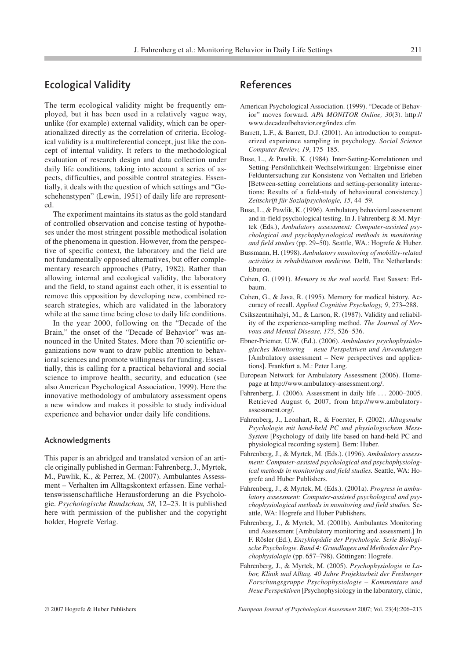#### **Ecological Validity**

The term ecological validity might be frequently employed, but it has been used in a relatively vague way, unlike (for example) external validity, which can be operationalized directly as the correlation of criteria. Ecological validity is a multireferential concept, just like the concept of internal validity. It refers to the methodological evaluation of research design and data collection under daily life conditions, taking into account a series of aspects, difficulties, and possible control strategies. Essentially, it deals with the question of which settings and "Geschehenstypen" (Lewin, 1951) of daily life are represented.

The experiment maintains its status as the gold standard of controlled observation and concise testing of hypotheses under the most stringent possible methodical isolation of the phenomena in question. However, from the perspective of specific context, the laboratory and the field are not fundamentally opposed alternatives, but offer complementary research approaches (Patry, 1982). Rather than allowing internal and ecological validity, the laboratory and the field, to stand against each other, it is essential to remove this opposition by developing new, combined research strategies, which are validated in the laboratory while at the same time being close to daily life conditions.

In the year 2000, following on the "Decade of the Brain," the onset of the "Decade of Behavior" was announced in the United States. More than 70 scientific organizations now want to draw public attention to behavioral sciences and promote willingness for funding. Essentially, this is calling for a practical behavioral and social science to improve health, security, and education (see also American Psychological Association, 1999). Here the innovative methodology of ambulatory assessment opens a new window and makes it possible to study individual experience and behavior under daily life conditions.

#### **Acknowledgments**

This paper is an abridged and translated version of an article originally published in German: Fahrenberg, J., Myrtek, M., Pawlik, K., & Perrez, M. (2007). Ambulantes Assessment – Verhalten im Alltagskontext erfassen. Eine verhaltenswissenschaftliche Herausforderung an die Psychologie. *Psychologische Rundschau, 58,* 12–23. It is published here with permission of the publisher and the copyright holder, Hogrefe Verlag.

#### **References**

- American Psychological Association. (1999). "Decade of Behavior" moves forward. *APA MONITOR Online, 30*(3). http:// www.decadeofbehavior.org/index.cfm
- Barrett, L.F., & Barrett, D.J. (2001). An introduction to computerized experience sampling in psychology. *Social Science Computer Review, 19*, 175–185.
- Buse, L., & Pawlik, K. (1984). Inter-Setting-Korrelationen und Setting-Persönlichkeit-Wechselwirkungen: Ergebnisse einer Felduntersuchung zur Konsistenz von Verhalten und Erleben [Between-setting correlations and setting-personality interactions: Results of a field-study of behavioural consistency.] *Zeitschrift für Sozialpsychologie, 15*, 44–59.
- Buse, L., & Pawlik, K. (1996). Ambulatory behavioral assessment and in-field psychological testing. In J. Fahrenberg & M. Myrtek (Eds.), *Ambulatory assessment: Computer-assisted psychological and psychophysiological methods in monitoring and field studies* (pp. 29–50). Seattle, WA.: Hogrefe & Huber.
- Bussmann, H. (1998). *Ambulatory monitoring of mobility-related activities in rehabilitation medicine.* Delft, The Netherlands: Eburon.
- Cohen, G. (1991). *Memory in the real world*. East Sussex: Erlbaum.
- Cohen, G., & Java, R. (1995). Memory for medical history. Accuracy of recall. *Applied Cognitive Psychology, 9*, 273–288.
- Csikszentmihalyi, M., & Larson, R. (1987). Validity and reliability of the experience-sampling method. *The Journal of Nervous and Mental Disease, 175*, 526–536.
- Ebner-Priemer, U.W. (Ed.). (2006). *Ambulantes psychophysiologisches Monitoring – neue Perspektiven und Anwendungen* [Ambulatory assessment – New perspectives and applications]. Frankfurt a. M.: Peter Lang.
- European Network for Ambulatory Assessment (2006). Homepage at http://www.ambulatory-assessment.org/.
- Fahrenberg, J. (2006). Assessment in daily life . . . 2000–2005. Retrieved August 6, 2007, from http://www.ambulatoryassessment.org/.
- Fahrenberg, J., Leonhart, R., & Foerster, F. (2002). *Alltagsnahe Psychologie mit hand-held PC und physiologischem Mess-System* [Psychology of daily life based on hand-held PC and physiological recording system]. Bern: Huber.
- Fahrenberg, J., & Myrtek, M. (Eds.). (1996). *Ambulatory assessment: Computer-assisted psychological and psychophysiological methods in monitoring and field studies.* Seattle, WA: Hogrefe and Huber Publishers.
- Fahrenberg, J., & Myrtek, M. (Eds.). (2001a). *Progress in ambulatory assessment: Computer-assisted psychological and psychophysiological methods in monitoring and field studies.* Seattle, WA: Hogrefe and Huber Publishers.
- Fahrenberg, J., & Myrtek, M. (2001b). Ambulantes Monitoring und Assessment [Ambulatory monitoring and assessment.] In F. Rösler (Ed.), *Enzyklopädie der Psychologie. Serie Biologische Psychologie. Band 4: Grundlagen und Methoden der Psychophysiologie* (pp. 657–798). Göttingen: Hogrefe.
- Fahrenberg, J., & Myrtek, M. (2005). *Psychophysiologie in Labor, Klinik und Alltag. 40 Jahre Projektarbeit der Freiburger Forschungsgruppe Psychophysiologie – Kommentare und Neue Perspektiven* [Psychophysiology in the laboratory, clinic,

© 2007 Hogrefe & Huber Publishers *European Journal of Psychological Assessment* 2007; Vol. 23(4):206–213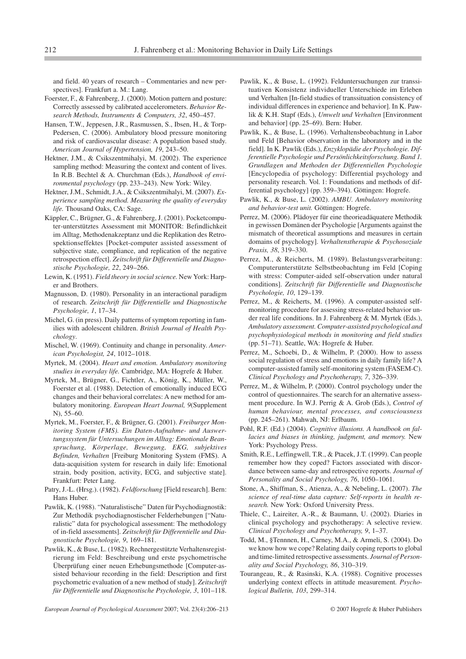and field. 40 years of research – Commentaries and new perspectives]. Frankfurt a. M.: Lang.

- Foerster, F., & Fahrenberg, J. (2000). Motion pattern and posture: Correctly assessed by calibrated accelerometers. *Behavior Research Methods, Instruments & Computers, 32*, 450–457.
- Hansen, T.W., Jeppesen, J.R., Rasmussen, S., Ibsen, H., & Torp-Pedersen, C. (2006). Ambulatory blood pressure monitoring and risk of cardiovascular disease: A population based study. *American Journal of Hypertension, 19*, 243–50.
- Hektner, J.M., & Csikszentmihalyi, M. (2002). The experience sampling method: Measuring the context and content of lives. In R.B. Bechtel & A. Churchman (Eds.), *Handbook of environmental psychology* (pp. 233–243). New York: Wiley.
- Hektner, J.M., Schmidt, J.A., & Csikszentmihalyi, M. (2007). *Experience sampling method. Measuring the quality of everyday life.* Thousand Oaks, CA: Sage.
- Käppler, C., Brügner, G., & Fahrenberg, J. (2001). Pocketcomputer-unterstütztes Assessment mit MONITOR: Befindlichkeit im Alltag, Methodenakzeptanz und die Replikation des Retrospektionseffektes [Pocket-computer assisted assessment of subjective state, compliance, and replication of the negative retrospection effect]. *Zeitschrift für Differentielle und Diagnostische Psychologie, 22*, 249–266.
- Lewin, K. (1951). *Field theory in social science.* New York: Harper and Brothers.
- Magnusson, D. (1980). Personality in an interactional paradigm of research. *Zeitschrift für Differentielle und Diagnostische Psychologie, 1*, 17–34.
- Michel, G. (in press). Daily patterns of symptom reporting in families with adolescent children. *British Journal of Health Psychology*.
- Mischel, W. (1969). Continuity and change in personality. *American Psychologist, 24*, 1012–1018.
- Myrtek, M. (2004). *Heart and emotion. Ambulatory monitoring studies in everyday life.* Cambridge, MA: Hogrefe & Huber.
- Myrtek, M., Brügner, G., Fichtler, A., König, K., Müller, W., Foerster et al. (1988). Detection of emotionally induced ECG changes and their behavioral correlates: A new method for ambulatory monitoring. *European Heart Journal, 9*(Supplement N), 55–60.
- Myrtek, M., Foerster, F., & Brügner, G. (2001). *Freiburger Monitoring System (FMS). Ein Daten-Aufnahme- und Auswertungssystem für Untersuchungen im Alltag: Emotionale Beanspruchung, Körperlage, Bewegung, EKG, subjektives Befinden, Verhalten* [Freiburg Monitoring System (FMS). A data-acquisition system for research in daily life: Emotional strain, body position, activity, ECG, and subjective state]. Frankfurt: Peter Lang.
- Patry, J.-L. (Hrsg.). (1982). *Feldforschung* [Field research]. Bern: Hans Huber.
- Pawlik, K. (1988). "Naturalistische" Daten für Psychodiagnostik: Zur Methodik psychodiagnostischer Felderhebungen ["Naturalistic" data for psychological assessment: The methodology of in-field assessments]. *Zeitschrift für Differentielle und Diagnostische Psychologie, 9*, 169–181.
- Pawlik, K., & Buse, L. (1982). Rechnergestützte Verhaltensregistrierung im Feld: Beschreibung und erste psychometrische Überprüfung einer neuen Erhebungsmethode [Computer-assisted behaviour recording in the field: Description and first psychometric evaluation of a new method of study]. *Zeitschrift für Differentielle und Diagnostische Psychologie, 3*, 101–118.

Pawlik, K., & Buse, L. (1992). Felduntersuchungen zur transsituativen Konsistenz individueller Unterschiede im Erleben und Verhalten [In-field studies of transsituation consistency of individual differences in experience and behavior]. In K. Pawlik & K.H. Stapf (Eds.), *Umwelt und Verhalten* [Environment and behavior] (pp. 25–69). Bern: Huber.

- Pawlik, K., & Buse, L. (1996). Verhaltensbeobachtung in Labor und Feld [Behavior observation in the laboratory and in the field]. In K. Pawlik (Eds.), *Enzyklopädie der Psychologie. Differentielle Psychologie und Persönlichkeitsforschung. Band 1. Grundlagen und Methoden der Differentiellen Psychologie* [Encyclopedia of psychology: Differential psychology and personality research. Vol. 1: Foundations and methods of differential psychology] (pp. 359–394). Göttingen: Hogrefe.
- Pawlik, K., & Buse, L. (2002). *AMBU. Ambulatory monitoring and behavior-test unit.* Göttingen: Hogrefe.
- Perrez, M. (2006). Plädoyer für eine theorieadäquatere Methodik in gewissen Domänen der Psychologie [Arguments against the mismatch of theoretical assumptions and measures in certain domains of psychology]. *Verhaltenstherapie & Psychosoziale Praxis, 38*, 319–330.
- Perrez, M., & Reicherts, M. (1989). Belastungsverarbeitung: Computerunterstützte Selbstbeobachtung im Feld [Coping with stress: Computer-aided self-observation under natural conditions]. *Zeitschrift für Differentielle und Diagnostische Psychologie, 10*, 129–139.
- Perrez, M., & Reicherts, M. (1996). A computer-assisted selfmonitoring procedure for assessing stress-related behavior under real life conditions. In J. Fahrenberg & M. Myrtek (Eds.), *Ambulatory assessment. Computer-assisted psychological and psychophysiological methods in monitoring and field studies* (pp. 51–71). Seattle, WA: Hogrefe & Huber.
- Perrez, M., Schoebi, D., & Wilhelm, P. (2000). How to assess social regulation of stress and emotions in daily family life? A computer-assisted family self-monitoring system (FASEM-C). *Clinical Psychology and Psychotherapy, 7*, 326–339.
- Perrez, M., & Wilhelm, P. (2000). Control psychology under the control of questionnaires. The search for an alternative assessment procedure. In W.J. Perrig & A. Grob (Eds.), *Control of human behaviour, mental processes, and consciousness* (pp. 245–261). Mahwah, NJ: Erlbaum.
- Pohl, R.F. (Ed.) (2004). *Cognitive illusions. A handbook on fallacies and biases in thinking, judgment, and memory.* New York: Psychology Press.
- Smith, R.E., Leffingwell, T.R., & Ptacek, J.T. (1999). Can people remember how they coped? Factors associated with discordance between same-day and retrospective reports. *Journal of Personality and Social Psychology, 76*, 1050–1061.
- Stone, A., Shiffman, S., Atienza, A., & Nebeling, L. (2007). *The science of real-time data capture: Self-reports in health research.* New York: Oxford University Press.
- Thiele, C., Laireiter, A.-R., & Baumann, U. (2002). Diaries in clinical psychology and psychotherapy: A selective review. *Clinical Psychology and Psychotherapy, 9*, 1–37.
- Todd, M., §Tennnen, H., Carney, M.A., & Armeli, S. (2004). Do we know how we cope? Relating daily coping reports to global and time-limited retrospective assessments. *Journal of Personality and Social Psychology, 86*, 310–319.
- Tourangeau, R., & Rasinski, K.A. (1988). Cognitive processes underlying context effects in attitude measurement. *Psychological Bulletin, 103*, 299–314.

*European Journal of Psychological Assessment* 2007; Vol. 23(4):206–213 © 2007 Hogrefe & Huber Publishers